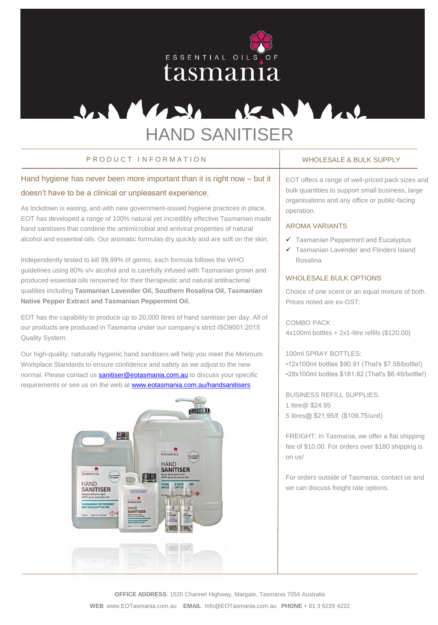

# U.S. Masse R. S. Mars HAND SANITISER

## P R O D U C T I N F O R M A T I O N WHOLES WHOLES ALL BULK SUPPLY

# Hand hygiene has never been more important than it is right now – but it doesn't have to be a clinical or unpleasant experience.

As lockdown is easing, and with new government-issued hygiene practices in place, EOT has developed a range of 100% natural yet incredibly effective Tasmanian made hand sanitisers that combine the antimicrobial and antiviral properties of natural alcohol and essential oils. Our aromatic formulas dry quickly and are soft on the skin.

Independently tested to kill 99.99% of germs, each formula follows the WHO guidelines using 80% v/v alcohol and is carefully infused with Tasmanian grown and produced essential oils renowned for their therapeutic and natural antibacterial qualities including **Tasmanian Lavender Oil, Southern Rosalina Oil, Tasmanian Native Pepper Extract and Tasmanian Peppermint Oil.** 

EOT has the capability to produce up to 20,000 litres of hand sanitiser per day. All of our products are produced in Tasmania under our company's strict ISO9001:2015 Quality System.

Our high-quality, naturally hygienic hand sanitisers will help you meet the Minimum Workplace Standards to ensure confidence and safety as we adjust to the new normal. Please contact us **sanitiser@eotasmania.com.au** to discuss your specific requirements or see us on the web at [www.eotasmania.com.au/handsanitisers](http://www.eotasmania.com.au/handsanitisers).



EOT offers a range of well-priced pack sizes and bulk quantities to support small business, large organisations and any office or public-facing operation.

#### AROMA VARIANTS

- $\checkmark$  Tasmanian Peppermint and Eucalyptus
- Tasmanian Lavender and Flinders Island Rosalina

### WHOLESALE BULK OPTIONS

Choice of one scent or an equal mixture of both. Prices noted are ex-GST:

COMBO PACK : 4x100ml bottles + 2x1-litre refills (\$120.00)

### 100ml SPRAY BOTTLES:

•12x100ml bottles \$90.91 (That's \$7.58/bottle!) •28x100ml bottles \$181.82 (That's \$6.49/bottle!)

BUSINESS REFILL SUPPLIES: 1 litre@ \$24.95 5 litres@ \$21.95/ℓ (\$109.75/unit)

FREIGHT: In Tasmania, we offer a flat shipping fee of \$10.00. For orders over \$180 shipping is on us!

For orders outside of Tasmania, contact us and we can discuss freight rate options.